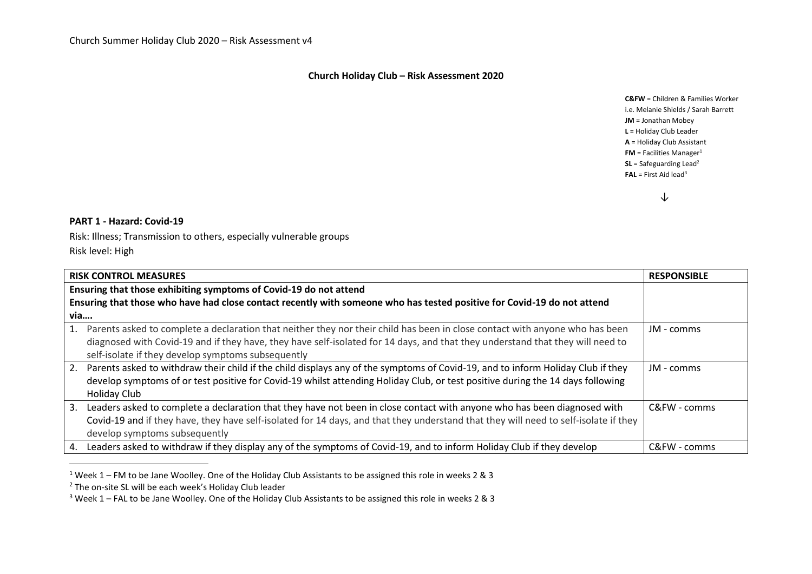## **Church Holiday Club – Risk Assessment 2020**

**C&FW** = Children & Families Worker i.e. Melanie Shields / Sarah Barrett **JM** = Jonathan Mobey **L** = Holiday Club Leader **A** = Holiday Club Assistant **FM** = Facilities Manager<sup>1</sup> **SL** = Safeguarding Lead<sup>2</sup> **FAL** = First Aid lead<sup>3</sup>

↓

## **PART 1 - Hazard: Covid-19**

 $\overline{a}$ 

Risk: Illness; Transmission to others, especially vulnerable groups Risk level: High

| <b>RISK CONTROL MEASURES</b><br><b>RESPONSIBLE</b> |                                                                                                                                                                                                                                                                                                                      |              |  |  |  |  |  |  |
|----------------------------------------------------|----------------------------------------------------------------------------------------------------------------------------------------------------------------------------------------------------------------------------------------------------------------------------------------------------------------------|--------------|--|--|--|--|--|--|
|                                                    | Ensuring that those exhibiting symptoms of Covid-19 do not attend                                                                                                                                                                                                                                                    |              |  |  |  |  |  |  |
|                                                    | Ensuring that those who have had close contact recently with someone who has tested positive for Covid-19 do not attend                                                                                                                                                                                              |              |  |  |  |  |  |  |
| via                                                |                                                                                                                                                                                                                                                                                                                      |              |  |  |  |  |  |  |
| 1.                                                 | Parents asked to complete a declaration that neither they nor their child has been in close contact with anyone who has been<br>diagnosed with Covid-19 and if they have, they have self-isolated for 14 days, and that they understand that they will need to<br>self-isolate if they develop symptoms subsequently | JM - comms   |  |  |  |  |  |  |
| 2.                                                 | Parents asked to withdraw their child if the child displays any of the symptoms of Covid-19, and to inform Holiday Club if they<br>develop symptoms of or test positive for Covid-19 whilst attending Holiday Club, or test positive during the 14 days following<br><b>Holiday Club</b>                             | JM - comms   |  |  |  |  |  |  |
| 3.                                                 | Leaders asked to complete a declaration that they have not been in close contact with anyone who has been diagnosed with<br>Covid-19 and if they have, they have self-isolated for 14 days, and that they understand that they will need to self-isolate if they<br>develop symptoms subsequently                    | $C&FW-comms$ |  |  |  |  |  |  |
| 4.                                                 | Leaders asked to withdraw if they display any of the symptoms of Covid-19, and to inform Holiday Club if they develop                                                                                                                                                                                                | C&FW - comms |  |  |  |  |  |  |

<sup>&</sup>lt;sup>1</sup> Week 1 – FM to be Jane Woolley. One of the Holiday Club Assistants to be assigned this role in weeks 2 & 3

<sup>&</sup>lt;sup>2</sup> The on-site SL will be each week's Holiday Club leader

<sup>3</sup> Week 1 – FAL to be Jane Woolley. One of the Holiday Club Assistants to be assigned this role in weeks 2 & 3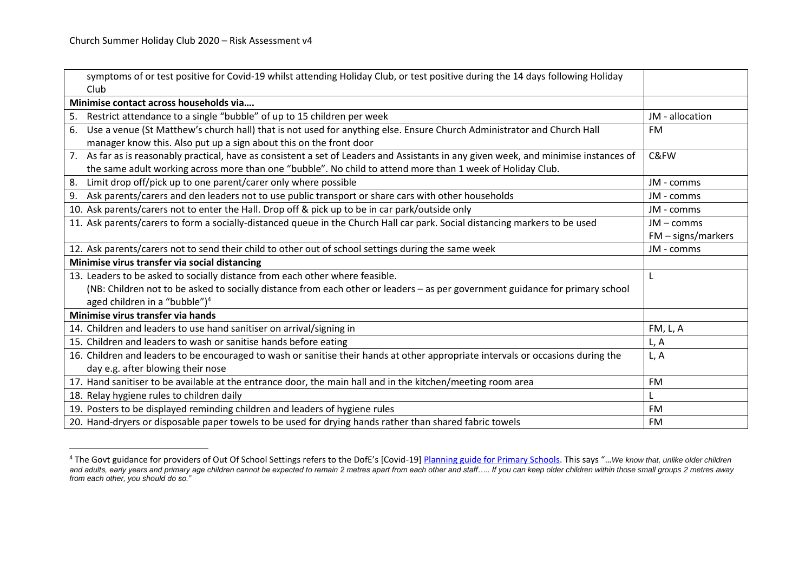$\overline{a}$ 

| symptoms of or test positive for Covid-19 whilst attending Holiday Club, or test positive during the 14 days following Holiday        |                     |
|---------------------------------------------------------------------------------------------------------------------------------------|---------------------|
| Club                                                                                                                                  |                     |
| Minimise contact across households via                                                                                                |                     |
| Restrict attendance to a single "bubble" of up to 15 children per week<br>5.                                                          | JM - allocation     |
| Use a venue (St Matthew's church hall) that is not used for anything else. Ensure Church Administrator and Church Hall<br>6.          | FM                  |
| manager know this. Also put up a sign about this on the front door                                                                    |                     |
| 7. As far as is reasonably practical, have as consistent a set of Leaders and Assistants in any given week, and minimise instances of | C&FW                |
| the same adult working across more than one "bubble". No child to attend more than 1 week of Holiday Club.                            |                     |
| Limit drop off/pick up to one parent/carer only where possible<br>8.                                                                  | JM - comms          |
| Ask parents/carers and den leaders not to use public transport or share cars with other households<br>9.                              | JM - comms          |
| 10. Ask parents/carers not to enter the Hall. Drop off & pick up to be in car park/outside only                                       | JM - comms          |
| 11. Ask parents/carers to form a socially-distanced queue in the Church Hall car park. Social distancing markers to be used           | $JM - \text{comms}$ |
|                                                                                                                                       | FM - signs/markers  |
| 12. Ask parents/carers not to send their child to other out of school settings during the same week                                   | JM - comms          |
| Minimise virus transfer via social distancing                                                                                         |                     |
| 13. Leaders to be asked to socially distance from each other where feasible.                                                          | L                   |
| (NB: Children not to be asked to socially distance from each other or leaders - as per government guidance for primary school         |                     |
| aged children in a "bubble") $4$                                                                                                      |                     |
| Minimise virus transfer via hands                                                                                                     |                     |
| 14. Children and leaders to use hand sanitiser on arrival/signing in                                                                  | FM, L, A            |
| 15. Children and leaders to wash or sanitise hands before eating                                                                      | L, A                |
| 16. Children and leaders to be encouraged to wash or sanitise their hands at other appropriate intervals or occasions during the      | L, A                |
| day e.g. after blowing their nose                                                                                                     |                     |
| 17. Hand sanitiser to be available at the entrance door, the main hall and in the kitchen/meeting room area                           | <b>FM</b>           |
| 18. Relay hygiene rules to children daily                                                                                             |                     |
| 19. Posters to be displayed reminding children and leaders of hygiene rules                                                           | <b>FM</b>           |
| 20. Hand-dryers or disposable paper towels to be used for drying hands rather than shared fabric towels                               | <b>FM</b>           |

<sup>4</sup> The Govt guidance for providers of Out Of School Settings refers to the DofE's [Covid-19[\] Planning guide for Primary Schools.](https://www.gov.uk/government/publications/preparing-for-the-wider-opening-of-schools-from-1-june/planning-guide-for-primary-schools#familiarise-yourself-with-the-maximum-safe-group-size) This says "…*We know that, unlike older children and adults, early years and primary age children cannot be expected to remain 2 metres apart from each other and staff….. If you can keep older children within those small groups 2 metres away from each other, you should do so."*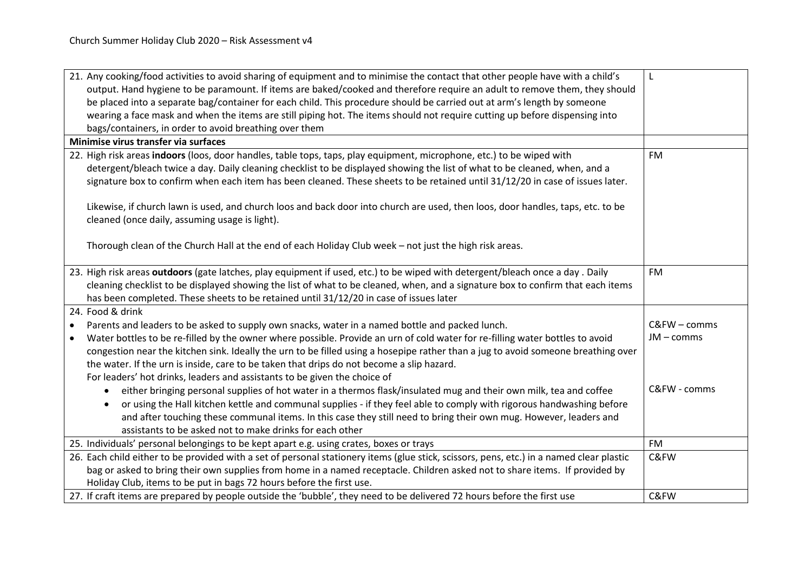| 21. Any cooking/food activities to avoid sharing of equipment and to minimise the contact that other people have with a child's<br>output. Hand hygiene to be paramount. If items are baked/cooked and therefore require an adult to remove them, they should<br>be placed into a separate bag/container for each child. This procedure should be carried out at arm's length by someone<br>wearing a face mask and when the items are still piping hot. The items should not require cutting up before dispensing into | L            |
|-------------------------------------------------------------------------------------------------------------------------------------------------------------------------------------------------------------------------------------------------------------------------------------------------------------------------------------------------------------------------------------------------------------------------------------------------------------------------------------------------------------------------|--------------|
| bags/containers, in order to avoid breathing over them                                                                                                                                                                                                                                                                                                                                                                                                                                                                  |              |
| Minimise virus transfer via surfaces                                                                                                                                                                                                                                                                                                                                                                                                                                                                                    |              |
| 22. High risk areas indoors (loos, door handles, table tops, taps, play equipment, microphone, etc.) to be wiped with<br>detergent/bleach twice a day. Daily cleaning checklist to be displayed showing the list of what to be cleaned, when, and a<br>signature box to confirm when each item has been cleaned. These sheets to be retained until 31/12/20 in case of issues later.                                                                                                                                    | <b>FM</b>    |
| Likewise, if church lawn is used, and church loos and back door into church are used, then loos, door handles, taps, etc. to be<br>cleaned (once daily, assuming usage is light).                                                                                                                                                                                                                                                                                                                                       |              |
| Thorough clean of the Church Hall at the end of each Holiday Club week - not just the high risk areas.                                                                                                                                                                                                                                                                                                                                                                                                                  |              |
| 23. High risk areas outdoors (gate latches, play equipment if used, etc.) to be wiped with detergent/bleach once a day. Daily<br>cleaning checklist to be displayed showing the list of what to be cleaned, when, and a signature box to confirm that each items<br>has been completed. These sheets to be retained until 31/12/20 in case of issues later                                                                                                                                                              | <b>FM</b>    |
| 24. Food & drink                                                                                                                                                                                                                                                                                                                                                                                                                                                                                                        |              |
| Parents and leaders to be asked to supply own snacks, water in a named bottle and packed lunch.<br>$\bullet$                                                                                                                                                                                                                                                                                                                                                                                                            | C&FW - comms |
| Water bottles to be re-filled by the owner where possible. Provide an urn of cold water for re-filling water bottles to avoid<br>$\bullet$                                                                                                                                                                                                                                                                                                                                                                              | JM - comms   |
| congestion near the kitchen sink. Ideally the urn to be filled using a hosepipe rather than a jug to avoid someone breathing over                                                                                                                                                                                                                                                                                                                                                                                       |              |
| the water. If the urn is inside, care to be taken that drips do not become a slip hazard.                                                                                                                                                                                                                                                                                                                                                                                                                               |              |
| For leaders' hot drinks, leaders and assistants to be given the choice of                                                                                                                                                                                                                                                                                                                                                                                                                                               |              |
| either bringing personal supplies of hot water in a thermos flask/insulated mug and their own milk, tea and coffee<br>$\bullet$                                                                                                                                                                                                                                                                                                                                                                                         | C&FW - comms |
| or using the Hall kitchen kettle and communal supplies - if they feel able to comply with rigorous handwashing before                                                                                                                                                                                                                                                                                                                                                                                                   |              |
| and after touching these communal items. In this case they still need to bring their own mug. However, leaders and                                                                                                                                                                                                                                                                                                                                                                                                      |              |
| assistants to be asked not to make drinks for each other                                                                                                                                                                                                                                                                                                                                                                                                                                                                |              |
| 25. Individuals' personal belongings to be kept apart e.g. using crates, boxes or trays                                                                                                                                                                                                                                                                                                                                                                                                                                 | <b>FM</b>    |
| 26. Each child either to be provided with a set of personal stationery items (glue stick, scissors, pens, etc.) in a named clear plastic                                                                                                                                                                                                                                                                                                                                                                                | C&FW         |
| bag or asked to bring their own supplies from home in a named receptacle. Children asked not to share items. If provided by                                                                                                                                                                                                                                                                                                                                                                                             |              |
| Holiday Club, items to be put in bags 72 hours before the first use.                                                                                                                                                                                                                                                                                                                                                                                                                                                    |              |
| 27. If craft items are prepared by people outside the 'bubble', they need to be delivered 72 hours before the first use                                                                                                                                                                                                                                                                                                                                                                                                 | C&FW         |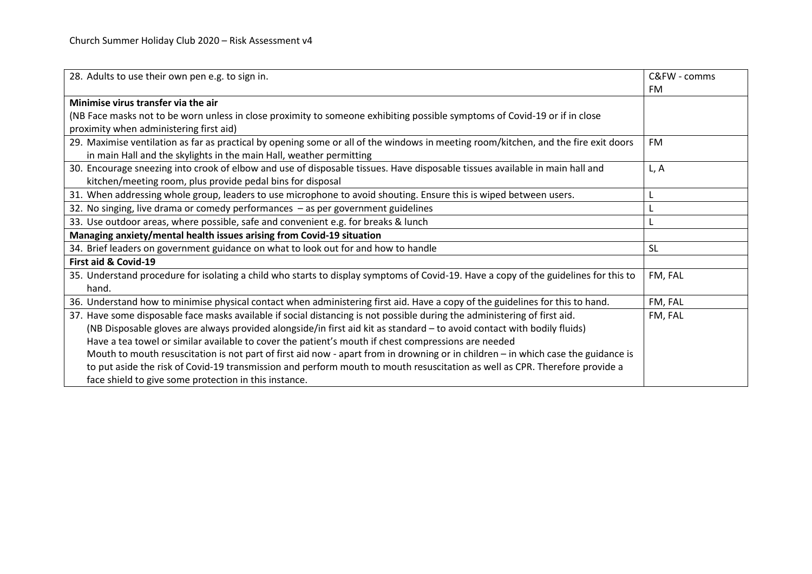| 28. Adults to use their own pen e.g. to sign in.                                                                                     | C&FW - comms |
|--------------------------------------------------------------------------------------------------------------------------------------|--------------|
|                                                                                                                                      | FM           |
| Minimise virus transfer via the air                                                                                                  |              |
| (NB Face masks not to be worn unless in close proximity to someone exhibiting possible symptoms of Covid-19 or if in close           |              |
| proximity when administering first aid)                                                                                              |              |
| 29. Maximise ventilation as far as practical by opening some or all of the windows in meeting room/kitchen, and the fire exit doors  | FM           |
| in main Hall and the skylights in the main Hall, weather permitting                                                                  |              |
| 30. Encourage sneezing into crook of elbow and use of disposable tissues. Have disposable tissues available in main hall and         | L, A         |
| kitchen/meeting room, plus provide pedal bins for disposal                                                                           |              |
| 31. When addressing whole group, leaders to use microphone to avoid shouting. Ensure this is wiped between users.                    |              |
| 32. No singing, live drama or comedy performances - as per government guidelines                                                     |              |
| 33. Use outdoor areas, where possible, safe and convenient e.g. for breaks & lunch                                                   |              |
| Managing anxiety/mental health issues arising from Covid-19 situation                                                                |              |
| 34. Brief leaders on government guidance on what to look out for and how to handle                                                   | <b>SL</b>    |
| First aid & Covid-19                                                                                                                 |              |
| 35. Understand procedure for isolating a child who starts to display symptoms of Covid-19. Have a copy of the guidelines for this to | FM, FAL      |
| hand.                                                                                                                                |              |
| 36. Understand how to minimise physical contact when administering first aid. Have a copy of the guidelines for this to hand.        | FM, FAL      |
| 37. Have some disposable face masks available if social distancing is not possible during the administering of first aid.            | FM, FAL      |
| (NB Disposable gloves are always provided alongside/in first aid kit as standard - to avoid contact with bodily fluids)              |              |
| Have a tea towel or similar available to cover the patient's mouth if chest compressions are needed                                  |              |
| Mouth to mouth resuscitation is not part of first aid now - apart from in drowning or in children - in which case the guidance is    |              |
| to put aside the risk of Covid-19 transmission and perform mouth to mouth resuscitation as well as CPR. Therefore provide a          |              |
| face shield to give some protection in this instance.                                                                                |              |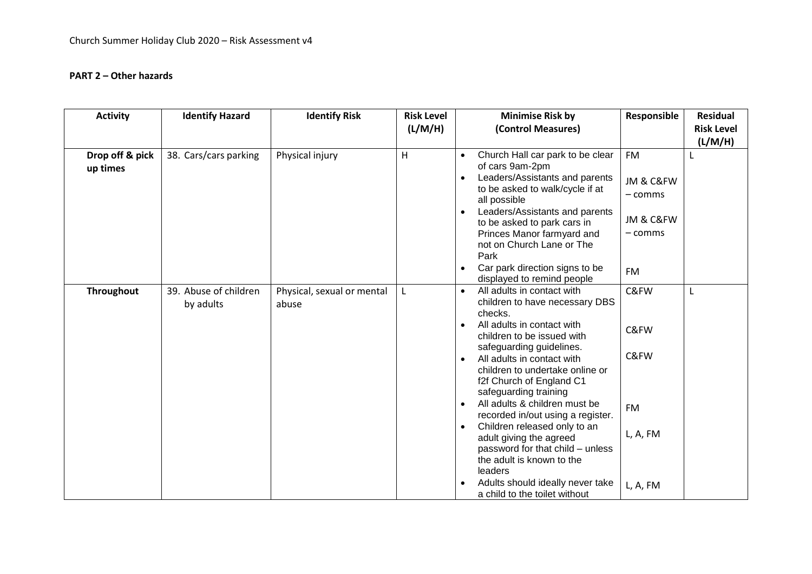## **PART 2 – Other hazards**

| <b>Activity</b>             | <b>Identify Hazard</b>             | <b>Identify Risk</b>                | <b>Risk Level</b> | <b>Minimise Risk by</b>                                                                                                                                                                                                                                                                                                                                                                                                                                                                                                                                | Responsible                                                            | <b>Residual</b>   |
|-----------------------------|------------------------------------|-------------------------------------|-------------------|--------------------------------------------------------------------------------------------------------------------------------------------------------------------------------------------------------------------------------------------------------------------------------------------------------------------------------------------------------------------------------------------------------------------------------------------------------------------------------------------------------------------------------------------------------|------------------------------------------------------------------------|-------------------|
|                             |                                    |                                     | (L/M/H)           | (Control Measures)                                                                                                                                                                                                                                                                                                                                                                                                                                                                                                                                     |                                                                        | <b>Risk Level</b> |
|                             |                                    |                                     |                   |                                                                                                                                                                                                                                                                                                                                                                                                                                                                                                                                                        |                                                                        | (L/M/H)           |
| Drop off & pick<br>up times | 38. Cars/cars parking              | Physical injury                     | H                 | Church Hall car park to be clear<br>$\bullet$<br>of cars 9am-2pm<br>Leaders/Assistants and parents<br>$\bullet$<br>to be asked to walk/cycle if at<br>all possible<br>Leaders/Assistants and parents<br>to be asked to park cars in<br>Princes Manor farmyard and<br>not on Church Lane or The<br>Park<br>Car park direction signs to be<br>$\bullet$                                                                                                                                                                                                  | <b>FM</b><br>JM & C&FW<br>- comms<br>JM & C&FW<br>- comms<br><b>FM</b> | L                 |
|                             |                                    |                                     |                   | displayed to remind people                                                                                                                                                                                                                                                                                                                                                                                                                                                                                                                             |                                                                        |                   |
| <b>Throughout</b>           | 39. Abuse of children<br>by adults | Physical, sexual or mental<br>abuse | L                 | All adults in contact with<br>$\bullet$<br>children to have necessary DBS<br>checks.<br>All adults in contact with<br>$\bullet$<br>children to be issued with<br>safeguarding guidelines.<br>All adults in contact with<br>$\bullet$<br>children to undertake online or<br>f2f Church of England C1<br>safeguarding training<br>All adults & children must be<br>$\bullet$<br>recorded in/out using a register.<br>Children released only to an<br>adult giving the agreed<br>password for that child - unless<br>the adult is known to the<br>leaders | C&FW<br>C&FW<br>C&FW<br><b>FM</b><br>L, A, FM                          | L                 |
|                             |                                    |                                     |                   | Adults should ideally never take<br>a child to the toilet without                                                                                                                                                                                                                                                                                                                                                                                                                                                                                      | L, A, FM                                                               |                   |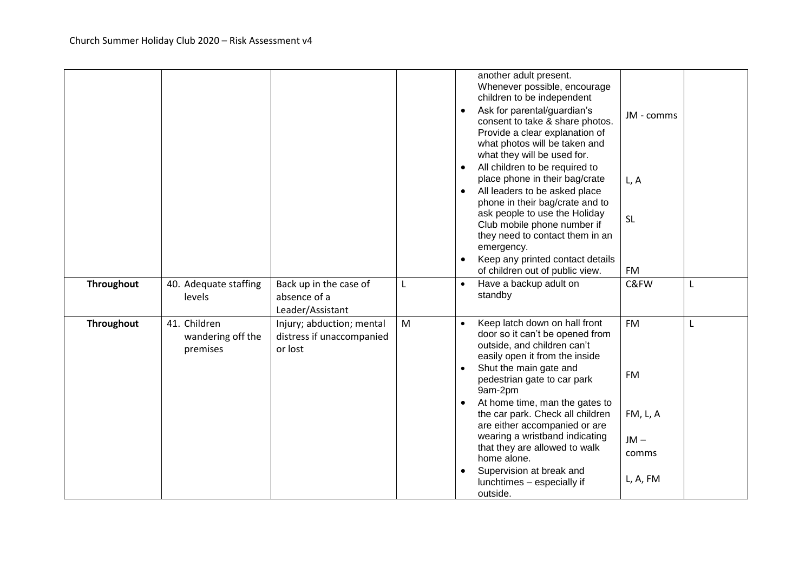|                   |                                               |                                                                   |   | $\bullet$<br>$\bullet$<br>$\bullet$<br>$\bullet$ | another adult present.<br>Whenever possible, encourage<br>children to be independent<br>Ask for parental/guardian's<br>consent to take & share photos.<br>Provide a clear explanation of<br>what photos will be taken and<br>what they will be used for.<br>All children to be required to<br>place phone in their bag/crate<br>All leaders to be asked place<br>phone in their bag/crate and to<br>ask people to use the Holiday<br>Club mobile phone number if<br>they need to contact them in an<br>emergency.<br>Keep any printed contact details<br>of children out of public view. | JM - comms<br>L, A<br><b>SL</b><br><b>FM</b>               |   |
|-------------------|-----------------------------------------------|-------------------------------------------------------------------|---|--------------------------------------------------|------------------------------------------------------------------------------------------------------------------------------------------------------------------------------------------------------------------------------------------------------------------------------------------------------------------------------------------------------------------------------------------------------------------------------------------------------------------------------------------------------------------------------------------------------------------------------------------|------------------------------------------------------------|---|
| Throughout        | 40. Adequate staffing<br>levels               | Back up in the case of<br>absence of a<br>Leader/Assistant        | L | $\bullet$                                        | Have a backup adult on<br>standby                                                                                                                                                                                                                                                                                                                                                                                                                                                                                                                                                        | C&FW                                                       | L |
| <b>Throughout</b> | 41. Children<br>wandering off the<br>premises | Injury; abduction; mental<br>distress if unaccompanied<br>or lost | M | $\bullet$<br>$\bullet$<br>$\bullet$              | Keep latch down on hall front<br>door so it can't be opened from<br>outside, and children can't<br>easily open it from the inside<br>Shut the main gate and<br>pedestrian gate to car park<br>9am-2pm<br>At home time, man the gates to<br>the car park. Check all children<br>are either accompanied or are<br>wearing a wristband indicating<br>that they are allowed to walk<br>home alone.<br>Supervision at break and<br>lunchtimes - especially if<br>outside.                                                                                                                     | <b>FM</b><br>FM<br>FM, L, A<br>$JM -$<br>comms<br>L, A, FM | L |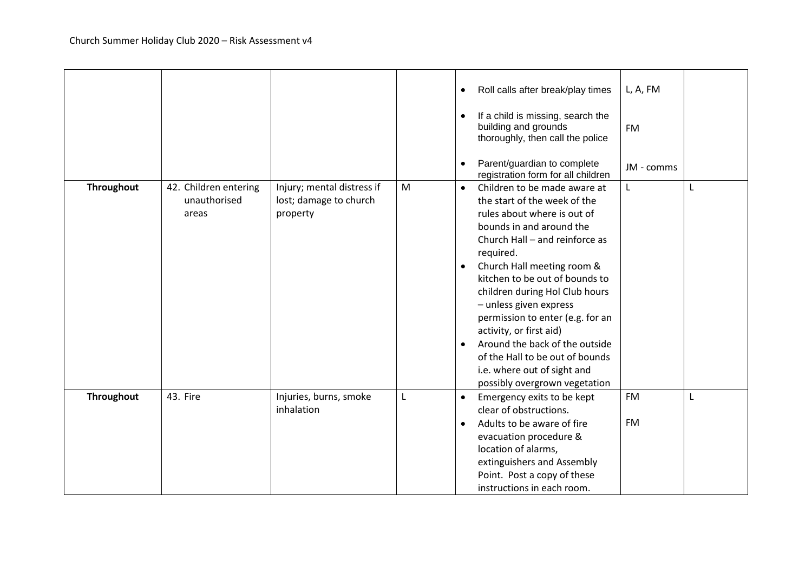|                   |                                                |                                                                  |   | L, A, FM<br>Roll calls after break/play times<br>$\bullet$<br>If a child is missing, search the<br>$\bullet$<br>building and grounds<br><b>FM</b><br>thoroughly, then call the police                                                                                                                                                                                                                                                                                                                                                                              |
|-------------------|------------------------------------------------|------------------------------------------------------------------|---|--------------------------------------------------------------------------------------------------------------------------------------------------------------------------------------------------------------------------------------------------------------------------------------------------------------------------------------------------------------------------------------------------------------------------------------------------------------------------------------------------------------------------------------------------------------------|
|                   |                                                |                                                                  |   | Parent/guardian to complete<br>$\bullet$<br>JM - comms<br>registration form for all children                                                                                                                                                                                                                                                                                                                                                                                                                                                                       |
| Throughout        | 42. Children entering<br>unauthorised<br>areas | Injury; mental distress if<br>lost; damage to church<br>property | M | Children to be made aware at<br>$\mathsf{L}$<br>L<br>$\bullet$<br>the start of the week of the<br>rules about where is out of<br>bounds in and around the<br>Church Hall - and reinforce as<br>required.<br>Church Hall meeting room &<br>$\bullet$<br>kitchen to be out of bounds to<br>children during Hol Club hours<br>- unless given express<br>permission to enter (e.g. for an<br>activity, or first aid)<br>Around the back of the outside<br>$\bullet$<br>of the Hall to be out of bounds<br>i.e. where out of sight and<br>possibly overgrown vegetation |
| <b>Throughout</b> | 43. Fire                                       | Injuries, burns, smoke<br>inhalation                             | L | <b>FM</b><br>Emergency exits to be kept<br>$\bullet$<br>L<br>clear of obstructions.<br><b>FM</b><br>Adults to be aware of fire<br>$\bullet$<br>evacuation procedure &<br>location of alarms,<br>extinguishers and Assembly<br>Point. Post a copy of these<br>instructions in each room.                                                                                                                                                                                                                                                                            |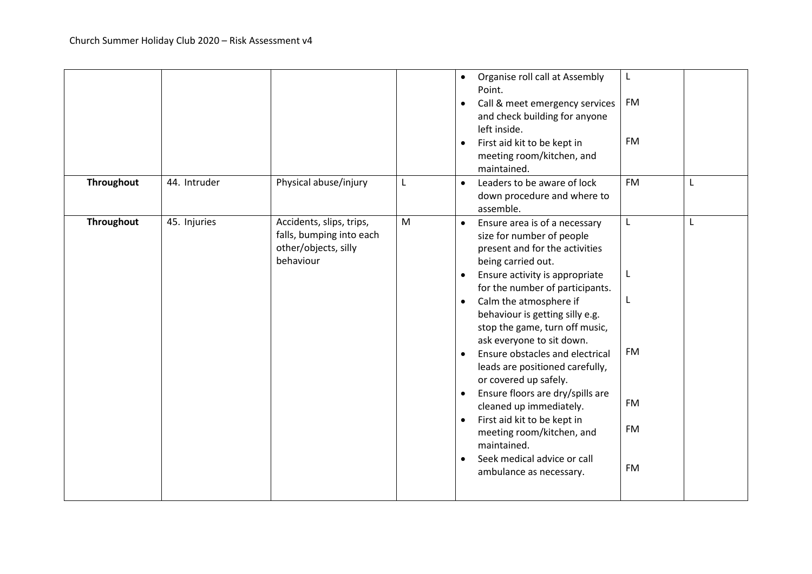|            |              |                                                                                           |   | Organise roll call at Assembly<br>L<br>$\bullet$<br>Point.<br><b>FM</b><br>Call & meet emergency services<br>$\bullet$<br>and check building for anyone<br>left inside.<br><b>FM</b><br>First aid kit to be kept in<br>$\bullet$<br>meeting room/kitchen, and<br>maintained.                                                                                                                                                                                                                                                                                                                                                                                                                                                                                                |
|------------|--------------|-------------------------------------------------------------------------------------------|---|-----------------------------------------------------------------------------------------------------------------------------------------------------------------------------------------------------------------------------------------------------------------------------------------------------------------------------------------------------------------------------------------------------------------------------------------------------------------------------------------------------------------------------------------------------------------------------------------------------------------------------------------------------------------------------------------------------------------------------------------------------------------------------|
| Throughout | 44. Intruder | Physical abuse/injury                                                                     | L | <b>FM</b><br>Leaders to be aware of lock<br>L<br>$\bullet$<br>down procedure and where to<br>assemble.                                                                                                                                                                                                                                                                                                                                                                                                                                                                                                                                                                                                                                                                      |
| Throughout | 45. Injuries | Accidents, slips, trips,<br>falls, bumping into each<br>other/objects, silly<br>behaviour | M | Ensure area is of a necessary<br>L<br>L<br>$\bullet$<br>size for number of people<br>present and for the activities<br>being carried out.<br>Ensure activity is appropriate<br>L<br>$\bullet$<br>for the number of participants.<br>Calm the atmosphere if<br>L<br>$\bullet$<br>behaviour is getting silly e.g.<br>stop the game, turn off music,<br>ask everyone to sit down.<br>FM<br>Ensure obstacles and electrical<br>$\bullet$<br>leads are positioned carefully,<br>or covered up safely.<br>Ensure floors are dry/spills are<br>$\bullet$<br>FM<br>cleaned up immediately.<br>First aid kit to be kept in<br>$\bullet$<br><b>FM</b><br>meeting room/kitchen, and<br>maintained.<br>Seek medical advice or call<br>$\bullet$<br><b>FM</b><br>ambulance as necessary. |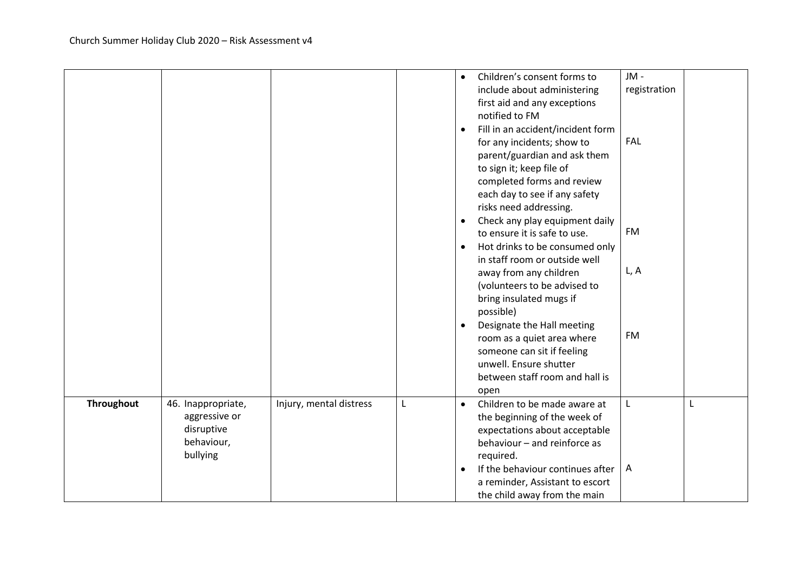|            |                                                                             |                         |   | $\bullet$<br>$\bullet$<br>$\bullet$<br>$\bullet$ | Children's consent forms to<br>include about administering<br>first aid and any exceptions<br>notified to FM<br>Fill in an accident/incident form<br>for any incidents; show to<br>parent/guardian and ask them<br>to sign it; keep file of<br>completed forms and review<br>each day to see if any safety<br>risks need addressing.<br>Check any play equipment daily<br>to ensure it is safe to use.<br>Hot drinks to be consumed only<br>in staff room or outside well<br>away from any children<br>(volunteers to be advised to<br>bring insulated mugs if<br>possible) | JM -<br>registration<br><b>FAL</b><br><b>FM</b><br>L, A |   |
|------------|-----------------------------------------------------------------------------|-------------------------|---|--------------------------------------------------|-----------------------------------------------------------------------------------------------------------------------------------------------------------------------------------------------------------------------------------------------------------------------------------------------------------------------------------------------------------------------------------------------------------------------------------------------------------------------------------------------------------------------------------------------------------------------------|---------------------------------------------------------|---|
|            |                                                                             |                         |   | $\bullet$                                        | Designate the Hall meeting<br>room as a quiet area where<br>someone can sit if feeling<br>unwell. Ensure shutter<br>between staff room and hall is<br>open                                                                                                                                                                                                                                                                                                                                                                                                                  | <b>FM</b>                                               |   |
| Throughout | 46. Inappropriate,<br>aggressive or<br>disruptive<br>behaviour,<br>bullying | Injury, mental distress | L | $\bullet$<br>$\bullet$                           | Children to be made aware at<br>the beginning of the week of<br>expectations about acceptable<br>behaviour - and reinforce as<br>required.<br>If the behaviour continues after $ A $<br>a reminder, Assistant to escort<br>the child away from the main                                                                                                                                                                                                                                                                                                                     | L                                                       | L |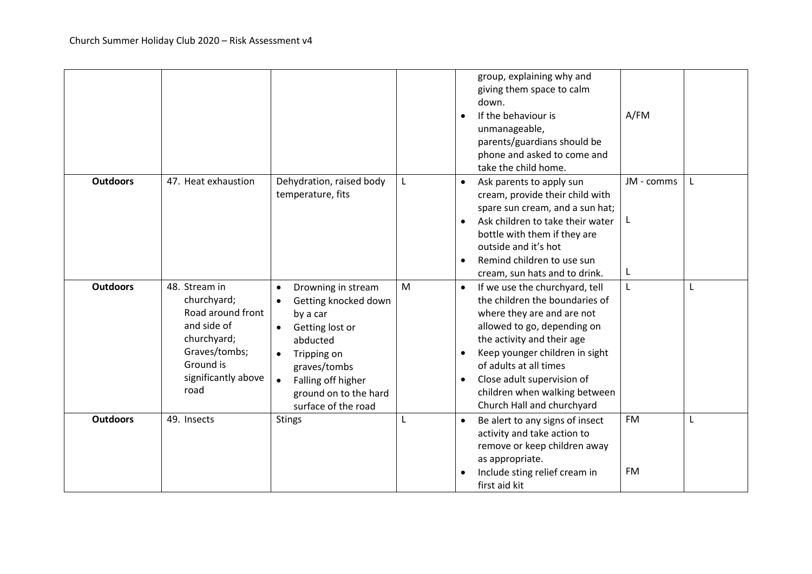|                 |                                                                                                                                              |                                                                                                                                                                                                                                                |   | group, explaining why and<br>giving them space to calm<br>down.<br>If the behaviour is<br>$\bullet$<br>unmanageable,<br>parents/guardians should be<br>phone and asked to come and<br>take the child home.                                                                                                                                     | A/FM                   |   |
|-----------------|----------------------------------------------------------------------------------------------------------------------------------------------|------------------------------------------------------------------------------------------------------------------------------------------------------------------------------------------------------------------------------------------------|---|------------------------------------------------------------------------------------------------------------------------------------------------------------------------------------------------------------------------------------------------------------------------------------------------------------------------------------------------|------------------------|---|
| <b>Outdoors</b> | 47. Heat exhaustion                                                                                                                          | Dehydration, raised body<br>temperature, fits                                                                                                                                                                                                  | L | Ask parents to apply sun<br>cream, provide their child with<br>spare sun cream, and a sun hat;<br>Ask children to take their water<br>bottle with them if they are<br>outside and it's hot<br>Remind children to use sun<br>cream, sun hats and to drink.                                                                                      | JM - comms<br>L        |   |
| <b>Outdoors</b> | 48. Stream in<br>churchyard;<br>Road around front<br>and side of<br>churchyard;<br>Graves/tombs;<br>Ground is<br>significantly above<br>road | Drowning in stream<br>$\bullet$<br>Getting knocked down<br>$\bullet$<br>by a car<br>Getting lost or<br>$\bullet$<br>abducted<br>Tripping on<br>$\bullet$<br>graves/tombs<br>Falling off higher<br>ground on to the hard<br>surface of the road | M | If we use the churchyard, tell<br>$\bullet$<br>the children the boundaries of<br>where they are and are not<br>allowed to go, depending on<br>the activity and their age<br>Keep younger children in sight<br>$\bullet$<br>of adults at all times<br>Close adult supervision of<br>children when walking between<br>Church Hall and churchyard | L                      | L |
| <b>Outdoors</b> | 49. Insects                                                                                                                                  | <b>Stings</b>                                                                                                                                                                                                                                  | L | Be alert to any signs of insect<br>activity and take action to<br>remove or keep children away<br>as appropriate.<br>Include sting relief cream in<br>$\bullet$<br>first aid kit                                                                                                                                                               | <b>FM</b><br><b>FM</b> | L |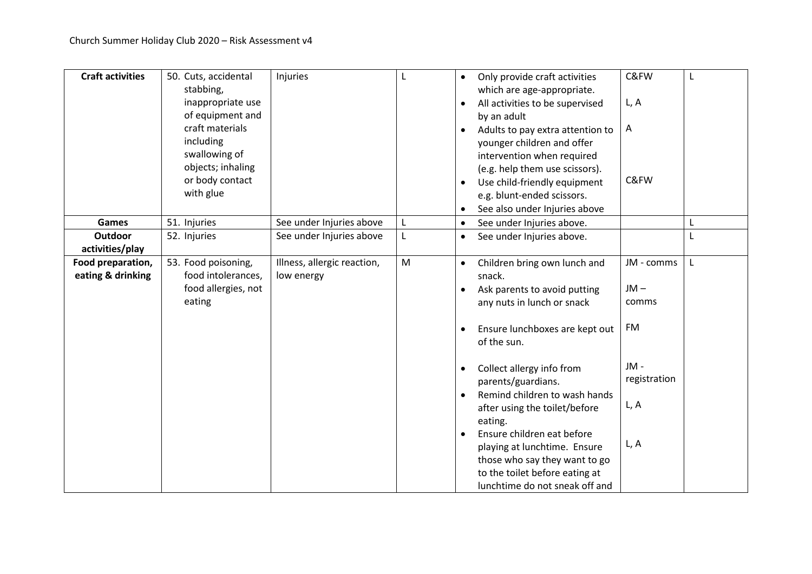| <b>Craft activities</b> | 50. Cuts, accidental<br>stabbing, | Injuries                    | L | $\bullet$ | Only provide craft activities<br>which are age-appropriate. | C&FW         | L |
|-------------------------|-----------------------------------|-----------------------------|---|-----------|-------------------------------------------------------------|--------------|---|
|                         | inappropriate use                 |                             |   | $\bullet$ | All activities to be supervised                             | L, A         |   |
|                         | of equipment and                  |                             |   |           | by an adult                                                 |              |   |
|                         | craft materials                   |                             |   | $\bullet$ | Adults to pay extra attention to                            | A            |   |
|                         | including                         |                             |   |           | younger children and offer                                  |              |   |
|                         | swallowing of                     |                             |   |           | intervention when required                                  |              |   |
|                         | objects; inhaling                 |                             |   |           | (e.g. help them use scissors).                              |              |   |
|                         | or body contact                   |                             |   | $\bullet$ | Use child-friendly equipment                                | C&FW         |   |
|                         | with glue                         |                             |   |           | e.g. blunt-ended scissors.                                  |              |   |
|                         |                                   |                             |   |           | See also under Injuries above                               |              |   |
| <b>Games</b>            | 51. Injuries                      | See under Injuries above    | L | $\bullet$ | See under Injuries above.                                   |              | L |
| <b>Outdoor</b>          | 52. Injuries                      | See under Injuries above    | L | $\bullet$ | See under Injuries above.                                   |              | L |
| activities/play         |                                   |                             |   |           |                                                             |              |   |
| Food preparation,       | 53. Food poisoning,               | Illness, allergic reaction, | M | $\bullet$ | Children bring own lunch and                                | JM - comms   | L |
| eating & drinking       | food intolerances,                | low energy                  |   |           | snack.                                                      |              |   |
|                         | food allergies, not               |                             |   |           | Ask parents to avoid putting                                | $JM -$       |   |
|                         | eating                            |                             |   |           | any nuts in lunch or snack                                  | comms        |   |
|                         |                                   |                             |   |           |                                                             |              |   |
|                         |                                   |                             |   | $\bullet$ | Ensure lunchboxes are kept out                              | FM           |   |
|                         |                                   |                             |   |           | of the sun.                                                 |              |   |
|                         |                                   |                             |   |           |                                                             | JM-          |   |
|                         |                                   |                             |   | $\bullet$ | Collect allergy info from                                   | registration |   |
|                         |                                   |                             |   | $\bullet$ | parents/guardians.<br>Remind children to wash hands         |              |   |
|                         |                                   |                             |   |           | after using the toilet/before                               | L, A         |   |
|                         |                                   |                             |   |           | eating.                                                     |              |   |
|                         |                                   |                             |   | $\bullet$ | Ensure children eat before                                  |              |   |
|                         |                                   |                             |   |           | playing at lunchtime. Ensure                                | L, A         |   |
|                         |                                   |                             |   |           | those who say they want to go                               |              |   |
|                         |                                   |                             |   |           | to the toilet before eating at                              |              |   |
|                         |                                   |                             |   |           | lunchtime do not sneak off and                              |              |   |